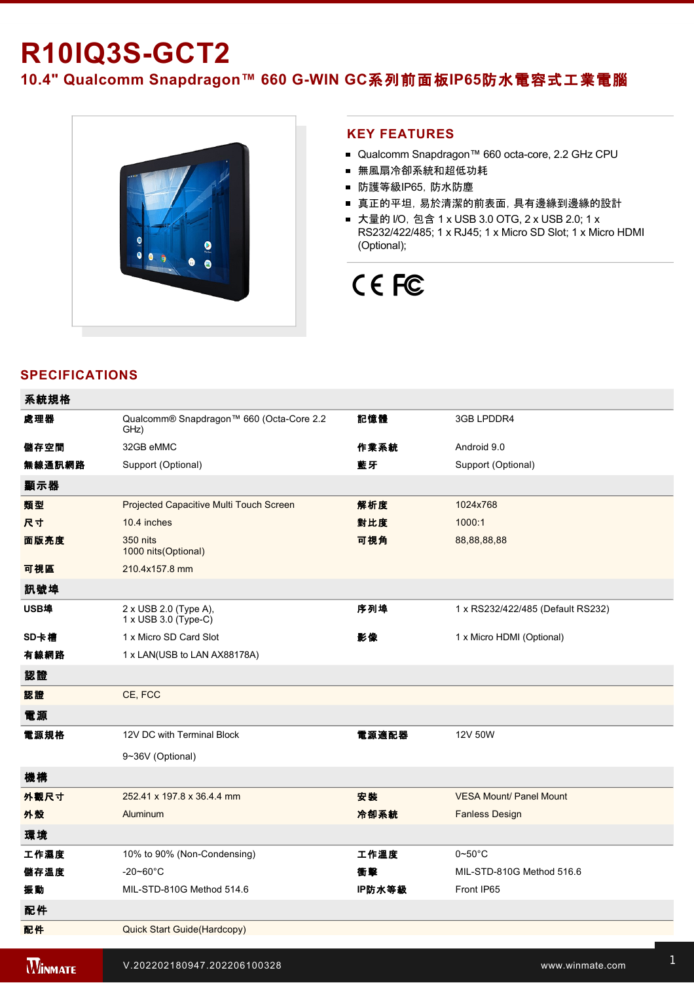# **R10IQ3S-GCT2**

10.4" Qualcomm Snapdragon™ 660 G-WIN GC系列前面板IP65防水電容式工業電腦



### **KEY FEATURES**

- Qualcomm Snapdragon™ 660 octa-core, 2.2 GHz CPU
- 無風扇冷卻系統和超低功耗
- 防護等級IP65,防水防塵
- 真正的平坦,易於清潔的前表面,具有邊緣到邊緣的設計
- 大量的 I/O, 包含 1 x USB 3.0 OTG, 2 x USB 2.0; 1 x RS232/422/485; 1 x RJ45; 1 x Micro SD Slot; 1 x Micro HDMI (Optional);

# CE FC

## **SPECIFICATIONS**

| 系統規格   |                                                      |        |                                   |
|--------|------------------------------------------------------|--------|-----------------------------------|
| 處理器    | Qualcomm® Snapdragon™ 660 (Octa-Core 2.2<br>GHz)     | 記憶體    | 3GB LPDDR4                        |
| 儲存空間   | 32GB eMMC                                            | 作業系統   | Android 9.0                       |
| 無線通訊網路 | Support (Optional)                                   | 藍牙     | Support (Optional)                |
| 顯示器    |                                                      |        |                                   |
| 類型     | Projected Capacitive Multi Touch Screen              | 解析度    | 1024x768                          |
| 尺寸     | 10.4 inches                                          | 對比度    | 1000:1                            |
| 面版亮度   | 350 nits<br>1000 nits(Optional)                      | 可視角    | 88, 88, 88, 88                    |
| 可視區    | 210.4x157.8 mm                                       |        |                                   |
| 訊號埠    |                                                      |        |                                   |
| USB埠   | 2 x USB 2.0 (Type A),<br>$1 \times$ USB 3.0 (Type-C) | 序列埠    | 1 x RS232/422/485 (Default RS232) |
| SD卡槽   | 1 x Micro SD Card Slot                               | 影像     | 1 x Micro HDMI (Optional)         |
| 有線網路   | 1 x LAN(USB to LAN AX88178A)                         |        |                                   |
| 認證     |                                                      |        |                                   |
| 認證     | CE, FCC                                              |        |                                   |
| 電源     |                                                      |        |                                   |
| 電源規格   | 12V DC with Terminal Block                           | 電源適配器  | 12V 50W                           |
|        | 9~36V (Optional)                                     |        |                                   |
| 機構     |                                                      |        |                                   |
| 外觀尺寸   | 252.41 x 197.8 x 36.4.4 mm                           | 安装     | <b>VESA Mount/ Panel Mount</b>    |
| 外殼     | Aluminum                                             | 冷卻系統   | <b>Fanless Design</b>             |
| 環境     |                                                      |        |                                   |
| 工作濕度   | 10% to 90% (Non-Condensing)                          | 工作溫度   | $0\negthinspace$ -50 $^{\circ}$ C |
| 儲存溫度   | $-20 - 60^{\circ}$ C                                 | 衝擊     | MIL-STD-810G Method 516.6         |
| 振動     | MIL-STD-810G Method 514.6                            | IP防水等級 | Front IP65                        |
| 配件     |                                                      |        |                                   |
| 配件     | Quick Start Guide(Hardcopy)                          |        |                                   |
|        |                                                      |        |                                   |

**WINMATE** 

控制